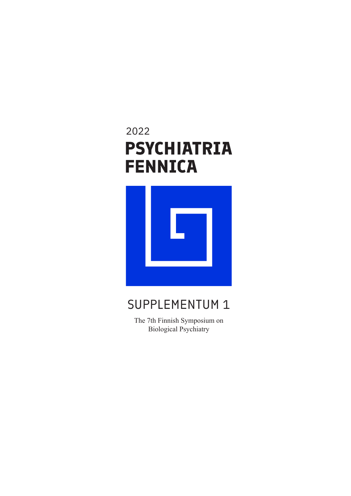# 2022**PSYCHIATRIA FENNICA**



## SUPPLEMENTUM 1

The 7th Finnish Symposium on Biological Psychiatry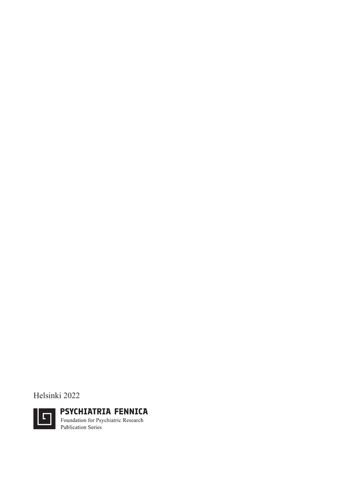Helsinki 2022

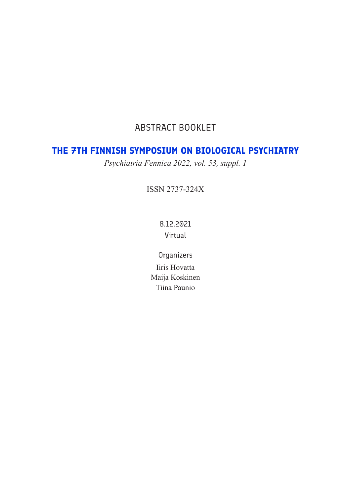## ABSTRACT BOOKLET

## **THE 7TH FINNISH SYMPOSIUM ON BIOLOGICAL PSYCHIATRY**

*Psychiatria Fennica 2022, vol. 53, suppl. 1*

ISSN 2737-324X

8.12.2021 Virtual

**Organizers** Iiris Hovatta Maija Koskinen Tiina Paunio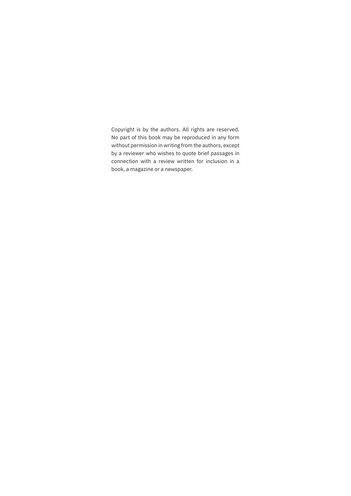Copyright is by the authors. All rights are reserved. No part of this book may be reproduced in any form without permission in writing from the authors, except by a reviewer who wishes to quote brief passages in connection with a review written for inclusion in a book, a magazine or a newspaper.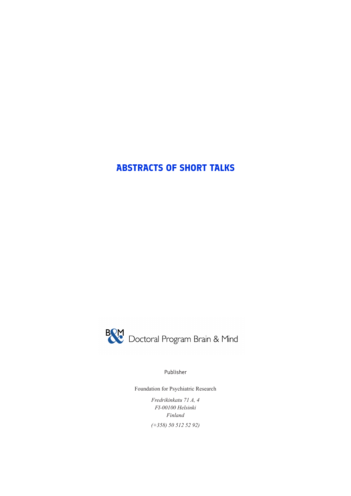## **ABSTRACTS OF SHORT TALKS**



Publisher

Foundation for Psychiatric Research

*Fredrikinkatu 71 A, 4 FI-00100 Helsinki Finland (+358) 50 512 52 92)*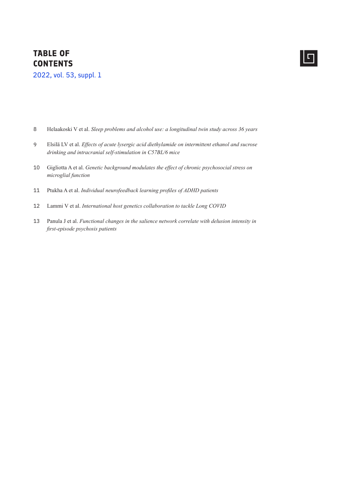### **TABLE OF CONTENTS**

2022, vol. 53, suppl. 1

- Helaakoski V et al. *Sleep problems and alcohol use: a longitudinal twin study across 36 years* 8
- Elsilä LV et al. *Effects of acute lysergic acid diethylamide on intermittent ethanol and sucrose drinking and intracranial self-stimulation in C57BL/6 mice* 9
- Gigliotta A et al. *Genetic background modulates the effect of chronic psychosocial stress on microglial function* 10
- Ptukha A et al. *Individual neurofeedback learning profiles of ADHD patients* 11
- Lammi V et al. *International host genetics collaboration to tackle Long COVID* 12
- Panula J et al. *Functional changes in the salience network correlate with delusion intensity in*  13*first-episode psychosis patients*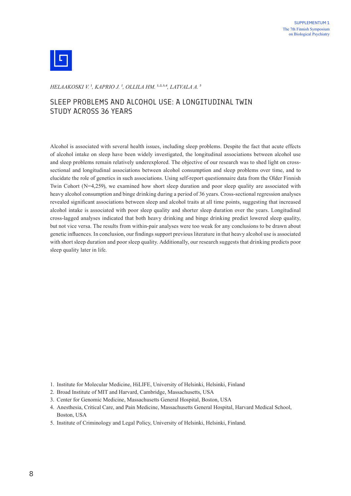

*HELAAKOSKI V.  1, KAPRIO J.  1, OLLILA HM.  1,2,3,4, LATVALA A.  5*

#### SLEEP PROBLEMS AND ALCOHOL USE: A LONGITUDINAL TWIN STUDY ACROSS 36 YEARS

Alcohol is associated with several health issues, including sleep problems. Despite the fact that acute effects of alcohol intake on sleep have been widely investigated, the longitudinal associations between alcohol use and sleep problems remain relatively underexplored. The objective of our research was to shed light on crosssectional and longitudinal associations between alcohol consumption and sleep problems over time, and to elucidate the role of genetics in such associations. Using self-report questionnaire data from the Older Finnish Twin Cohort (N=4,259), we examined how short sleep duration and poor sleep quality are associated with heavy alcohol consumption and binge drinking during a period of 36 years. Cross-sectional regression analyses revealed significant associations between sleep and alcohol traits at all time points, suggesting that increased alcohol intake is associated with poor sleep quality and shorter sleep duration over the years. Longitudinal cross-lagged analyses indicated that both heavy drinking and binge drinking predict lowered sleep quality, but not vice versa. The results from within-pair analyses were too weak for any conclusions to be drawn about genetic influences. In conclusion, our findings support previous literature in that heavy alcohol use is associated with short sleep duration and poor sleep quality. Additionally, our research suggests that drinking predicts poor sleep quality later in life.

- 1. Institute for Molecular Medicine, HiLIFE, University of Helsinki, Helsinki, Finland
- 2. Broad Institute of MIT and Harvard, Cambridge, Massachusetts, USA
- 3. Center for Genomic Medicine, Massachusetts General Hospital, Boston, USA
- 4. Anesthesia, Critical Care, and Pain Medicine, Massachusetts General Hospital, Harvard Medical School, Boston, USA
- 5. Institute of Criminology and Legal Policy, University of Helsinki, Helsinki, Finland.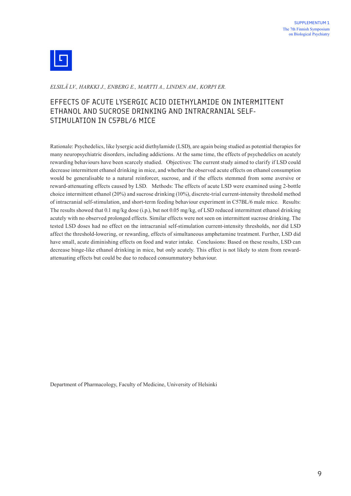

*ELSILÄ LV., HARKKI J., ENBERG E., MARTTI A., LINDEN AM., KORPI ER.*

#### EFFECTS OF ACUTE LYSERGIC ACID DIETHYLAMIDE ON INTERMITTENT ETHANOL AND SUCROSE DRINKING AND INTRACRANIAL SELF-STIMULATION IN C57BL/6 MICE

Rationale: Psychedelics, like lysergic acid diethylamide (LSD), are again being studied as potential therapies for many neuropsychiatric disorders, including addictions. At the same time, the effects of psychedelics on acutely rewarding behaviours have been scarcely studied. Objectives: The current study aimed to clarify if LSD could decrease intermittent ethanol drinking in mice, and whether the observed acute effects on ethanol consumption would be generalisable to a natural reinforcer, sucrose, and if the effects stemmed from some aversive or reward-attenuating effects caused by LSD. Methods: The effects of acute LSD were examined using 2-bottle choice intermittent ethanol (20%) and sucrose drinking (10%), discrete-trial current-intensity threshold method of intracranial self-stimulation, and short-term feeding behaviour experiment in C57BL/6 male mice. Results: The results showed that 0.1 mg/kg dose (i.p.), but not 0.05 mg/kg, of LSD reduced intermittent ethanol drinking acutely with no observed prolonged effects. Similar effects were not seen on intermittent sucrose drinking. The tested LSD doses had no effect on the intracranial self-stimulation current-intensity thresholds, nor did LSD affect the threshold-lowering, or rewarding, effects of simultaneous amphetamine treatment. Further, LSD did have small, acute diminishing effects on food and water intake. Conclusions: Based on these results, LSD can decrease binge-like ethanol drinking in mice, but only acutely. This effect is not likely to stem from rewardattenuating effects but could be due to reduced consummatory behaviour.

Department of Pharmacology, Faculty of Medicine, University of Helsinki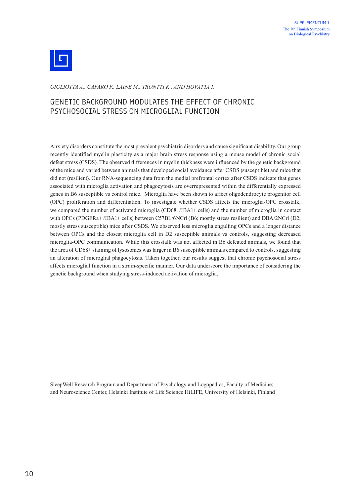

*GIGLIOTTA A., CAFARO F., LAINE M., TRONTTI K., AND HOVATTA I.*

#### GENETIC BACKGROUND MODULATES THE EFFECT OF CHRONIC PSYCHOSOCIAL STRESS ON MICROGLIAL FUNCTION

Anxiety disorders constitute the most prevalent psychiatric disorders and cause significant disability. Our group recently identified myelin plasticity as a major brain stress response using a mouse model of chronic social defeat stress (CSDS). The observed differences in myelin thickness were influenced by the genetic background of the mice and varied between animals that developed social avoidance after CSDS (susceptible) and mice that did not (resilient). Our RNA-sequencing data from the medial prefrontal cortex after CSDS indicate that genes associated with microglia activation and phagocytosis are overrepresented within the differentially expressed genes in B6 susceptible vs control mice. Microglia have been shown to affect oligodendrocyte progenitor cell (OPC) proliferation and differentiation. To investigate whether CSDS affects the microglia-OPC crosstalk, we compared the number of activated microglia (CD68+/IBA1+ cells) and the number of microglia in contact with OPCs (PDGFRa+/IBA1+ cells) between C57BL/6NCrl (B6; mostly stress resilient) and DBA/2NCrl (D2; mostly stress susceptible) mice after CSDS. We observed less microglia engulfing OPCs and a longer distance between OPCs and the closest microglia cell in D2 susceptible animals vs controls, suggesting decreased microglia-OPC communication. While this crosstalk was not affected in B6 defeated animals, we found that the area of CD68+ staining of lysosomes was larger in B6 susceptible animals compared to controls, suggesting an alteration of microglial phagocytosis. Taken together, our results suggest that chronic psychosocial stress affects microglial function in a strain-specific manner. Our data underscore the importance of considering the genetic background when studying stress-induced activation of microglia.

SleepWell Research Program and Department of Psychology and Logopedics, Faculty of Medicine; and Neuroscience Center, Helsinki Institute of Life Science HiLIFE, University of Helsinki, Finland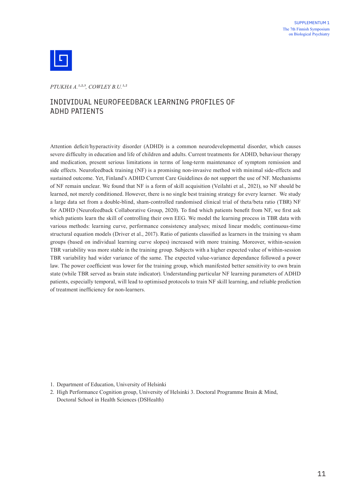

*PTUKHA A.1,2,3, COWLEY B.U.1,2*

#### INDIVIDUAL NEUROFEEDBACK LEARNING PROFILES OF ADHD PATIENTS

Attention deficit/hyperactivity disorder (ADHD) is a common neurodevelopmental disorder, which causes severe difficulty in education and life of children and adults. Current treatments for ADHD, behaviour therapy and medication, present serious limitations in terms of long-term maintenance of symptom remission and side effects. Neurofeedback training (NF) is a promising non-invasive method with minimal side-effects and sustained outcome. Yet, Finland's ADHD Current Care Guidelines do not support the use of NF. Mechanisms of NF remain unclear. We found that NF is a form of skill acquisition (Veilahti et al., 2021), so NF should be learned, not merely conditioned. However, there is no single best training strategy for every learner. We study a large data set from a double-blind, sham-controlled randomised clinical trial of theta/beta ratio (TBR) NF for ADHD (Neurofeedback Collaborative Group, 2020). To find which patients benefit from NF, we first ask which patients learn the skill of controlling their own EEG. We model the learning process in TBR data with various methods: learning curve, performance consistency analyses; mixed linear models; continuous-time structural equation models (Driver et al., 2017). Ratio of patients classified as learners in the training vs sham groups (based on individual learning curve slopes) increased with more training. Moreover, within-session TBR variability was more stable in the training group. Subjects with a higher expected value of within-session TBR variability had wider variance of the same. The expected value-variance dependance followed a power law. The power coefficient was lower for the training group, which manifested better sensitivity to own brain state (while TBR served as brain state indicator). Understanding particular NF learning parameters of ADHD patients, especially temporal, will lead to optimised protocols to train NF skill learning, and reliable prediction of treatment inefficiency for non-learners.

2. High Performance Cognition group, University of Helsinki 3. Doctoral Programme Brain & Mind, Doctoral School in Health Sciences (DSHealth)

<sup>1.</sup> Department of Education, University of Helsinki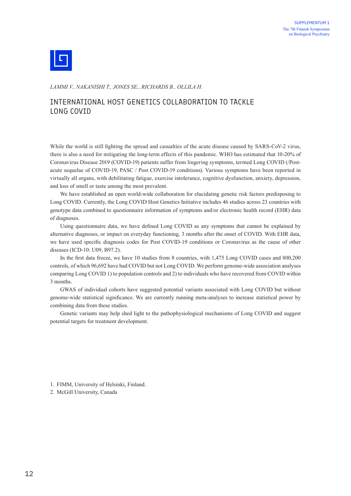

*LAMMI V., NAKANISHI T., JONES SE., RICHARDS B., OLLILA H.*

#### INTERNATIONAL HOST GENETICS COLLABORATION TO TACKLE LONG COVID

While the world is still fighting the spread and casualties of the acute disease caused by SARS-CoV-2 virus, there is also a need for mitigating the long-term effects of this pandemic. WHO has estimated that 10-20% of Coronavirus Disease 2019 (COVID-19) patients suffer from lingering symptoms, termed Long COVID (/Postacute sequelae of COVID-19, PASC / Post COVID-19 conditions). Various symptoms have been reported in virtually all organs, with debilitating fatigue, exercise intolerance, cognitive dysfunction, anxiety, depression, and loss of smell or taste among the most prevalent.

We have established an open world-wide collaboration for elucidating genetic risk factors predisposing to Long COVID. Currently, the Long COVID Host Genetics Initiative includes 46 studies across 23 countries with genotype data combined to questionnaire information of symptoms and/or electronic health record (EHR) data of diagnoses.

Using questionnaire data, we have defined Long COVID as any symptoms that cannot be explained by alternative diagnoses, or impact on everyday functioning, 3 months after the onset of COVID. With EHR data, we have used specific diagnosis codes for Post COVID-19 conditions or Coronavirus as the cause of other diseases (ICD-10: U09, B97.2).

In the first data freeze, we have 10 studies from 8 countries, with 1,475 Long COVID cases and 800,200 controls, of which 96,692 have had COVID but not Long COVID. We perform genome-wide association analyses comparing Long COVID 1) to population controls and 2) to individuals who have recovered from COVID within 3 months.

GWAS of individual cohorts have suggested potential variants associated with Long COVID but without genome-wide statistical significance. We are currently running meta-analyses to increase statistical power by combining data from these studies.

Genetic variants may help shed light to the pathophysiological mechanisms of Long COVID and suggest potential targets for treatment development.

1. FIMM, University of Helsinki, Finland.

2. McGill University, Canada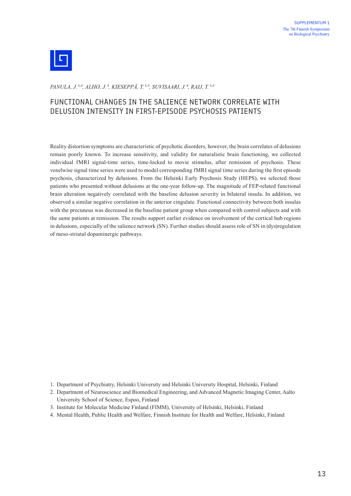

*PANULA, J. 1,2, ALHO, J. 2, KIESEPPÄ, T. 1,3, SUVISAARI, J. 4, RAIJ, T. 1,2*

#### FUNCTIONAL CHANGES IN THE SALIENCE NETWORK CORRELATE WITH DELUSION INTENSITY IN FIRST-EPISODE PSYCHOSIS PATIENTS

Reality distortion symptoms are characteristic of psychotic disorders, however, the brain correlates of delusions remain poorly known. To increase sensitivity, and validity for naturalistic brain functioning, we collected individual fMRI signal-time series, time-locked to movie stimulus, after remission of psychosis. These voxelwise signal time series were used to model corresponding fMRI signal time series during the first episode psychosis, characterized by delusions. From the Helsinki Early Psychosis Study (HEPS), we selected those patients who presented without delusions at the one-year follow-up. The magnitude of FEP-related functional brain alteration negatively correlated with the baseline delusion severity in bilateral insula. In addition, we observed a similar negative correlation in the anterior cingulate. Functional connectivity between both insulas with the precuneus was decreased in the baseline patient group when compared with control subjects and with the same patients at remission. The results support earlier evidence on involvement of the cortical hub regions in delusions, especially of the salience network (SN). Further studies should assess role of SN in (dys)regulation of meso-striatal dopaminergic pathways.

- 1. Department of Psychiatry, Helsinki University and Helsinki University Hospital, Helsinki, Finland
- 2. Department of Neuroscience and Biomedical Engineering, and Advanced Magnetic Imaging Center, Aalto University School of Science, Espoo, Finland
- 3. Institute for Molecular Medicine Finland (FIMM), University of Helsinki, Helsinki, Finland
- 4. Mental Health, Public Health and Welfare, Finnish Institute for Health and Welfare, Helsinki, Finland